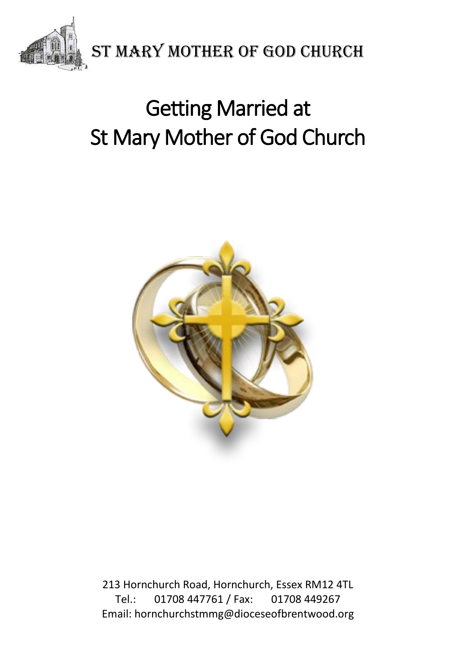

# Getting Married at St Mary Mother of God Church

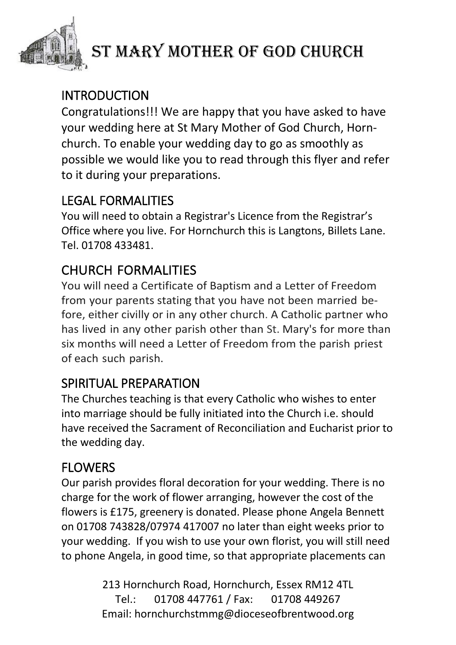

# ST MARY MOTHER OF GOD CHURCH

### INTRODUCTION

Congratulations!!! We are happy that you have asked to have your wedding here at St Mary Mother of God Church, Hornchurch. To enable your wedding day to go as smoothly as possible we would like you to read through this flyer and refer to it during your preparations.

### LEGAL FORMALITIES

You will need to obtain a Registrar's Licence from the Registrar's Office where you live. For Hornchurch this is Langtons, Billets Lane. Tel. 01708 433481.

# CHURCH FORMALITIES

You will need a Certificate of Baptism and a Letter of Freedom from your parents stating that you have not been married before, either civilly or in any other church. A Catholic partner who has lived in any other parish other than St. Mary's for more than six months will need a Letter of Freedom from the parish priest of each such parish.

# SPIRITUAL PREPARATION

The Churches teaching is that every Catholic who wishes to enter into marriage should be fully initiated into the Church i.e. should have received the Sacrament of Reconciliation and Eucharist prior to the wedding day.

#### **FLOWERS**

Our parish provides floral decoration for your wedding. There is no charge for the work of flower arranging, however the cost of the flowers is £175, greenery is donated. Please phone Angela Bennett on 01708 743828/07974 417007 no later than eight weeks prior to your wedding. If you wish to use your own florist, you will still need to phone Angela, in good time, so that appropriate placements can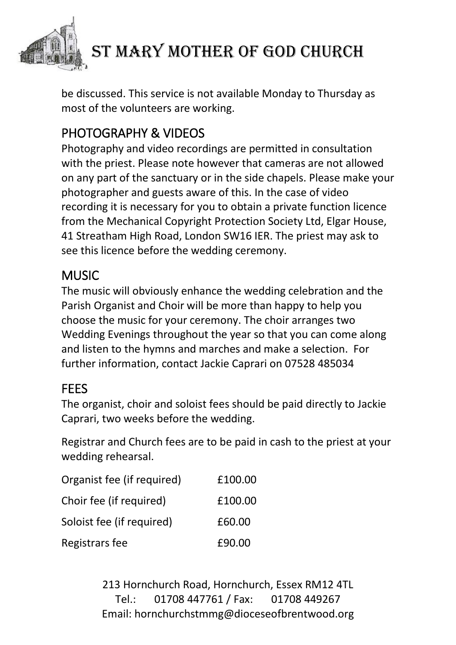

be discussed. This service is not available Monday to Thursday as most of the volunteers are working.

# PHOTOGRAPHY & VIDEOS

Photography and video recordings are permitted in consultation with the priest. Please note however that cameras are not allowed on any part of the sanctuary or in the side chapels. Please make your photographer and guests aware of this. In the case of video recording it is necessary for you to obtain a private function licence from the Mechanical Copyright Protection Society Ltd, Elgar House, 41 Streatham High Road, London SW16 IER. The priest may ask to see this licence before the wedding ceremony.

#### MUSIC

The music will obviously enhance the wedding celebration and the Parish Organist and Choir will be more than happy to help you choose the music for your ceremony. The choir arranges two Wedding Evenings throughout the year so that you can come along and listen to the hymns and marches and make a selection. For further information, contact Jackie Caprari on 07528 485034

#### **FFFS**

The organist, choir and soloist fees should be paid directly to Jackie Caprari, two weeks before the wedding.

Registrar and Church fees are to be paid in cash to the priest at your wedding rehearsal.

| Organist fee (if required) | £100.00 |
|----------------------------|---------|
| Choir fee (if required)    | £100.00 |
| Soloist fee (if required)  | £60.00  |
| Registrars fee             | £90.00  |